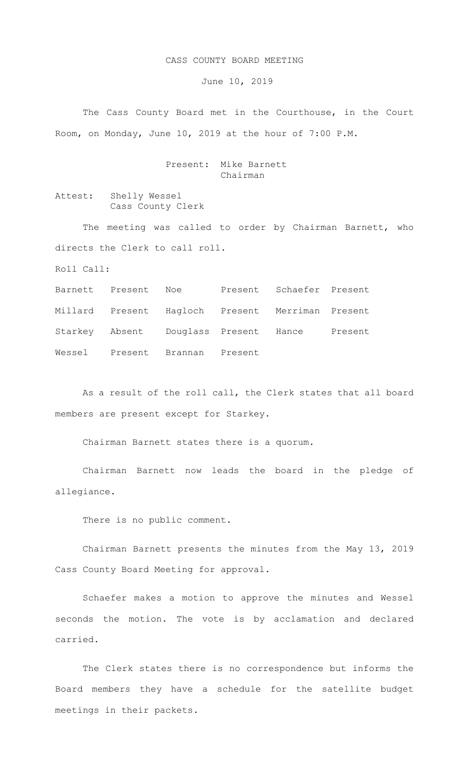## CASS COUNTY BOARD MEETING

June 10, 2019

The Cass County Board met in the Courthouse, in the Court Room, on Monday, June 10, 2019 at the hour of 7:00 P.M.

## Present: Mike Barnett Chairman

Attest: Shelly Wessel Cass County Clerk

The meeting was called to order by Chairman Barnett, who directs the Clerk to call roll.

Roll Call:

Barnett Present Noe Present Schaefer Present Millard Present Hagloch Present Merriman Present Starkey Absent Douglass Present Hance Present Wessel Present Brannan Present

As a result of the roll call, the Clerk states that all board members are present except for Starkey.

Chairman Barnett states there is a quorum.

Chairman Barnett now leads the board in the pledge of allegiance.

There is no public comment.

Chairman Barnett presents the minutes from the May 13, 2019 Cass County Board Meeting for approval.

Schaefer makes a motion to approve the minutes and Wessel seconds the motion. The vote is by acclamation and declared carried.

The Clerk states there is no correspondence but informs the Board members they have a schedule for the satellite budget meetings in their packets.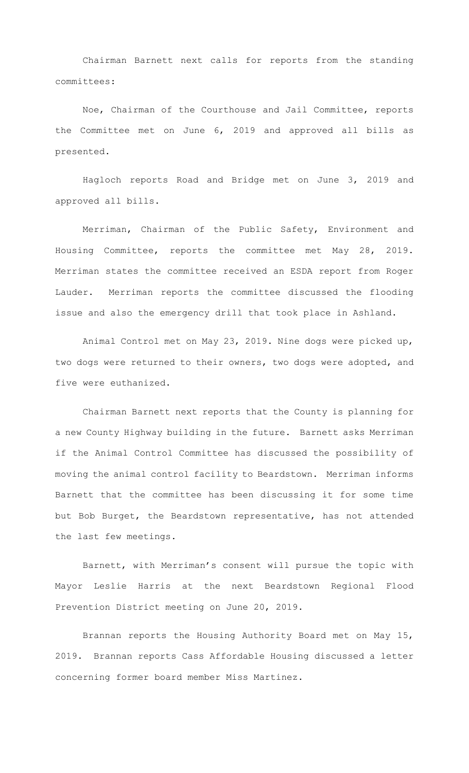Chairman Barnett next calls for reports from the standing committees:

Noe, Chairman of the Courthouse and Jail Committee, reports the Committee met on June 6, 2019 and approved all bills as presented.

Hagloch reports Road and Bridge met on June 3, 2019 and approved all bills.

 Merriman, Chairman of the Public Safety, Environment and Housing Committee, reports the committee met May 28, 2019. Merriman states the committee received an ESDA report from Roger Lauder. Merriman reports the committee discussed the flooding issue and also the emergency drill that took place in Ashland.

Animal Control met on May 23, 2019. Nine dogs were picked up, two dogs were returned to their owners, two dogs were adopted, and five were euthanized.

Chairman Barnett next reports that the County is planning for a new County Highway building in the future. Barnett asks Merriman if the Animal Control Committee has discussed the possibility of moving the animal control facility to Beardstown. Merriman informs Barnett that the committee has been discussing it for some time but Bob Burget, the Beardstown representative, has not attended the last few meetings.

Barnett, with Merriman's consent will pursue the topic with Mayor Leslie Harris at the next Beardstown Regional Flood Prevention District meeting on June 20, 2019.

Brannan reports the Housing Authority Board met on May 15, 2019. Brannan reports Cass Affordable Housing discussed a letter concerning former board member Miss Martinez.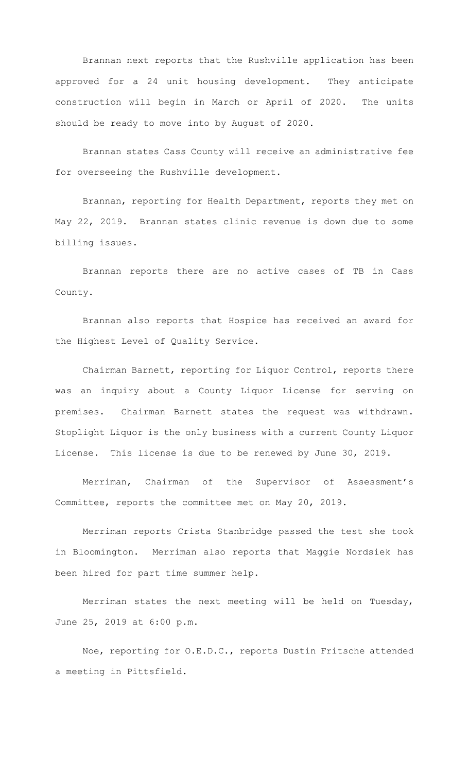Brannan next reports that the Rushville application has been approved for a 24 unit housing development. They anticipate construction will begin in March or April of 2020. The units should be ready to move into by August of 2020.

Brannan states Cass County will receive an administrative fee for overseeing the Rushville development.

Brannan, reporting for Health Department, reports they met on May 22, 2019. Brannan states clinic revenue is down due to some billing issues.

Brannan reports there are no active cases of TB in Cass County.

Brannan also reports that Hospice has received an award for the Highest Level of Quality Service.

Chairman Barnett, reporting for Liquor Control, reports there was an inquiry about a County Liquor License for serving on premises. Chairman Barnett states the request was withdrawn. Stoplight Liquor is the only business with a current County Liquor License. This license is due to be renewed by June 30, 2019.

Merriman, Chairman of the Supervisor of Assessment's Committee, reports the committee met on May 20, 2019.

Merriman reports Crista Stanbridge passed the test she took in Bloomington. Merriman also reports that Maggie Nordsiek has been hired for part time summer help.

Merriman states the next meeting will be held on Tuesday, June 25, 2019 at 6:00 p.m.

Noe, reporting for O.E.D.C., reports Dustin Fritsche attended a meeting in Pittsfield.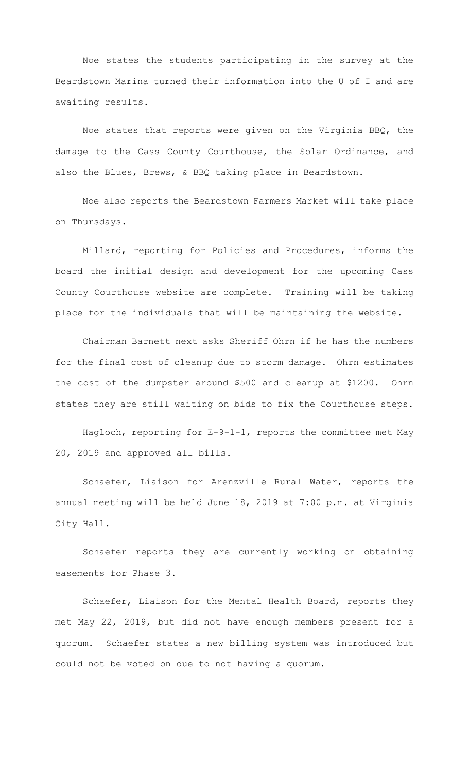Noe states the students participating in the survey at the Beardstown Marina turned their information into the U of I and are awaiting results.

Noe states that reports were given on the Virginia BBQ, the damage to the Cass County Courthouse, the Solar Ordinance, and also the Blues, Brews, & BBQ taking place in Beardstown.

Noe also reports the Beardstown Farmers Market will take place on Thursdays.

Millard, reporting for Policies and Procedures, informs the board the initial design and development for the upcoming Cass County Courthouse website are complete. Training will be taking place for the individuals that will be maintaining the website.

Chairman Barnett next asks Sheriff Ohrn if he has the numbers for the final cost of cleanup due to storm damage. Ohrn estimates the cost of the dumpster around \$500 and cleanup at \$1200. Ohrn states they are still waiting on bids to fix the Courthouse steps.

Hagloch, reporting for E-9-1-1, reports the committee met May 20, 2019 and approved all bills.

Schaefer, Liaison for Arenzville Rural Water, reports the annual meeting will be held June 18, 2019 at 7:00 p.m. at Virginia City Hall.

Schaefer reports they are currently working on obtaining easements for Phase 3.

Schaefer, Liaison for the Mental Health Board, reports they met May 22, 2019, but did not have enough members present for a quorum. Schaefer states a new billing system was introduced but could not be voted on due to not having a quorum.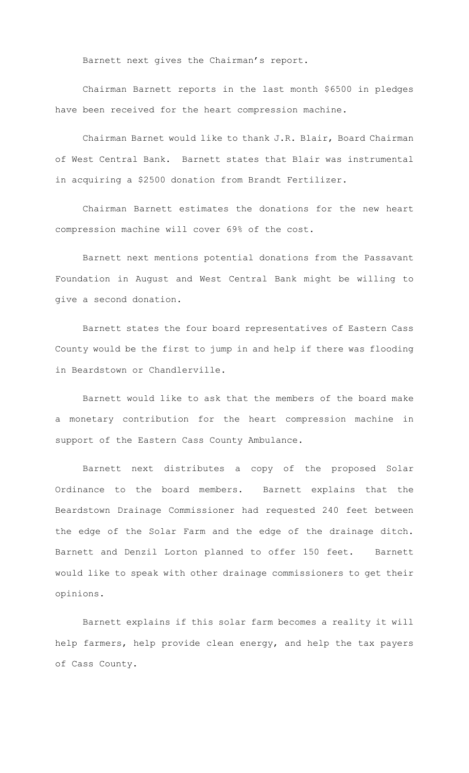Barnett next gives the Chairman's report.

Chairman Barnett reports in the last month \$6500 in pledges have been received for the heart compression machine.

Chairman Barnet would like to thank J.R. Blair, Board Chairman of West Central Bank. Barnett states that Blair was instrumental in acquiring a \$2500 donation from Brandt Fertilizer.

Chairman Barnett estimates the donations for the new heart compression machine will cover 69% of the cost.

Barnett next mentions potential donations from the Passavant Foundation in August and West Central Bank might be willing to give a second donation.

Barnett states the four board representatives of Eastern Cass County would be the first to jump in and help if there was flooding in Beardstown or Chandlerville.

Barnett would like to ask that the members of the board make a monetary contribution for the heart compression machine in support of the Eastern Cass County Ambulance.

Barnett next distributes a copy of the proposed Solar Ordinance to the board members. Barnett explains that the Beardstown Drainage Commissioner had requested 240 feet between the edge of the Solar Farm and the edge of the drainage ditch. Barnett and Denzil Lorton planned to offer 150 feet. Barnett would like to speak with other drainage commissioners to get their opinions.

Barnett explains if this solar farm becomes a reality it will help farmers, help provide clean energy, and help the tax payers of Cass County.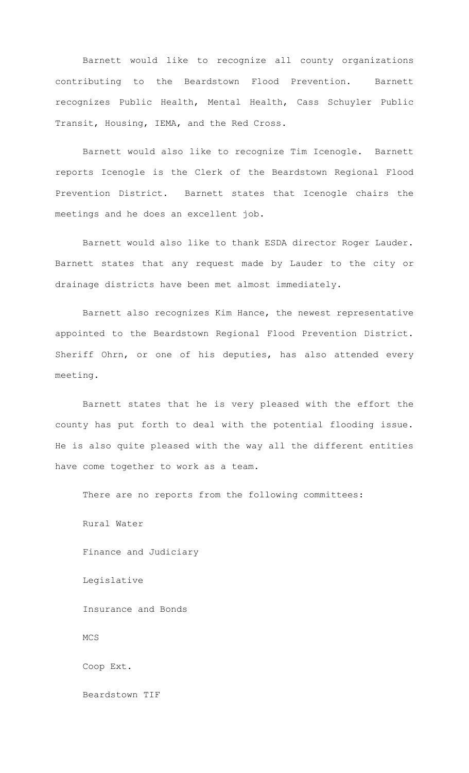Barnett would like to recognize all county organizations contributing to the Beardstown Flood Prevention. Barnett recognizes Public Health, Mental Health, Cass Schuyler Public Transit, Housing, IEMA, and the Red Cross.

Barnett would also like to recognize Tim Icenogle. Barnett reports Icenogle is the Clerk of the Beardstown Regional Flood Prevention District. Barnett states that Icenogle chairs the meetings and he does an excellent job.

Barnett would also like to thank ESDA director Roger Lauder. Barnett states that any request made by Lauder to the city or drainage districts have been met almost immediately.

Barnett also recognizes Kim Hance, the newest representative appointed to the Beardstown Regional Flood Prevention District. Sheriff Ohrn, or one of his deputies, has also attended every meeting.

Barnett states that he is very pleased with the effort the county has put forth to deal with the potential flooding issue. He is also quite pleased with the way all the different entities have come together to work as a team.

There are no reports from the following committees:

Rural Water Finance and Judiciary Legislative Insurance and Bonds MCS Coop Ext. Beardstown TIF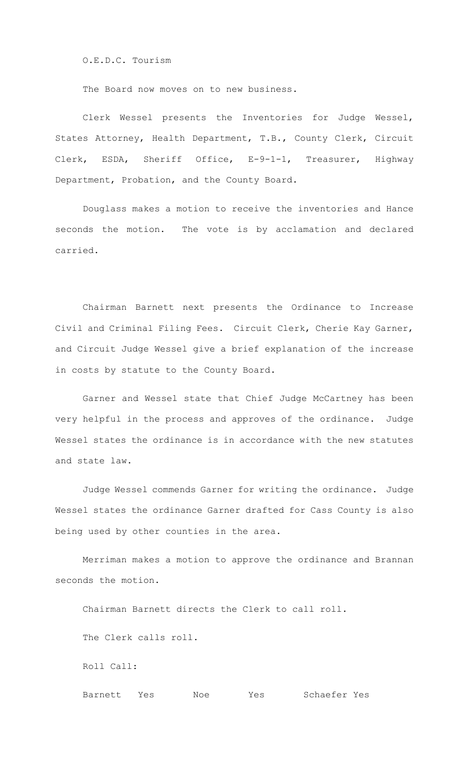O.E.D.C. Tourism

The Board now moves on to new business.

Clerk Wessel presents the Inventories for Judge Wessel, States Attorney, Health Department, T.B., County Clerk, Circuit Clerk, ESDA, Sheriff Office, E-9-1-1, Treasurer, Highway Department, Probation, and the County Board.

Douglass makes a motion to receive the inventories and Hance seconds the motion. The vote is by acclamation and declared carried.

Chairman Barnett next presents the Ordinance to Increase Civil and Criminal Filing Fees. Circuit Clerk, Cherie Kay Garner, and Circuit Judge Wessel give a brief explanation of the increase in costs by statute to the County Board.

Garner and Wessel state that Chief Judge McCartney has been very helpful in the process and approves of the ordinance. Judge Wessel states the ordinance is in accordance with the new statutes and state law.

Judge Wessel commends Garner for writing the ordinance. Judge Wessel states the ordinance Garner drafted for Cass County is also being used by other counties in the area.

Merriman makes a motion to approve the ordinance and Brannan seconds the motion.

Chairman Barnett directs the Clerk to call roll.

The Clerk calls roll.

Roll Call:

Barnett Yes Noe Yes Schaefer Yes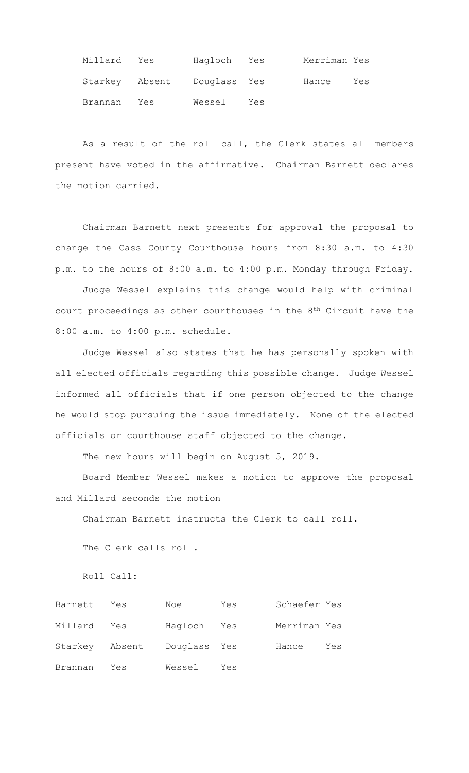| Millard | Yes                         | Hagloch Yes |     | Merriman Yes |     |
|---------|-----------------------------|-------------|-----|--------------|-----|
|         | Starkey Absent Douglass Yes |             |     | Hance        | Yes |
| Brannan | Yes                         | Wessel      | Yes |              |     |

As a result of the roll call, the Clerk states all members present have voted in the affirmative. Chairman Barnett declares the motion carried.

Chairman Barnett next presents for approval the proposal to change the Cass County Courthouse hours from 8:30 a.m. to 4:30 p.m. to the hours of 8:00 a.m. to 4:00 p.m. Monday through Friday.

Judge Wessel explains this change would help with criminal court proceedings as other courthouses in the 8th Circuit have the 8:00 a.m. to 4:00 p.m. schedule.

Judge Wessel also states that he has personally spoken with all elected officials regarding this possible change. Judge Wessel informed all officials that if one person objected to the change he would stop pursuing the issue immediately. None of the elected officials or courthouse staff objected to the change.

The new hours will begin on August 5, 2019.

Board Member Wessel makes a motion to approve the proposal and Millard seconds the motion

Chairman Barnett instructs the Clerk to call roll.

The Clerk calls roll.

Roll Call:

| Barnett | Yes | Noe                         | Yes | Schaefer Yes |     |
|---------|-----|-----------------------------|-----|--------------|-----|
| Millard | Yes | Hagloch Yes                 |     | Merriman Yes |     |
|         |     | Starkey Absent Douglass Yes |     | Hance        | Yes |
| Brannan | Yes | Wessel                      | Yes |              |     |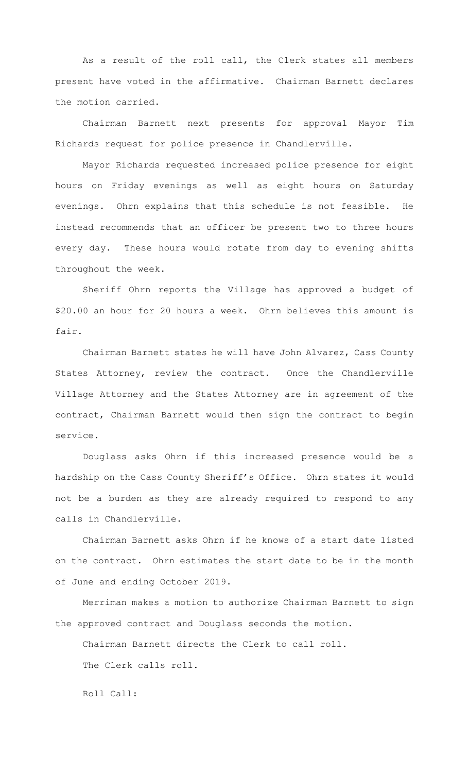As a result of the roll call, the Clerk states all members present have voted in the affirmative. Chairman Barnett declares the motion carried.

Chairman Barnett next presents for approval Mayor Tim Richards request for police presence in Chandlerville.

Mayor Richards requested increased police presence for eight hours on Friday evenings as well as eight hours on Saturday evenings. Ohrn explains that this schedule is not feasible. He instead recommends that an officer be present two to three hours every day. These hours would rotate from day to evening shifts throughout the week.

Sheriff Ohrn reports the Village has approved a budget of \$20.00 an hour for 20 hours a week. Ohrn believes this amount is fair.

Chairman Barnett states he will have John Alvarez, Cass County States Attorney, review the contract. Once the Chandlerville Village Attorney and the States Attorney are in agreement of the contract, Chairman Barnett would then sign the contract to begin service.

Douglass asks Ohrn if this increased presence would be a hardship on the Cass County Sheriff's Office. Ohrn states it would not be a burden as they are already required to respond to any calls in Chandlerville.

Chairman Barnett asks Ohrn if he knows of a start date listed on the contract. Ohrn estimates the start date to be in the month of June and ending October 2019.

Merriman makes a motion to authorize Chairman Barnett to sign the approved contract and Douglass seconds the motion.

Chairman Barnett directs the Clerk to call roll. The Clerk calls roll.

Roll Call: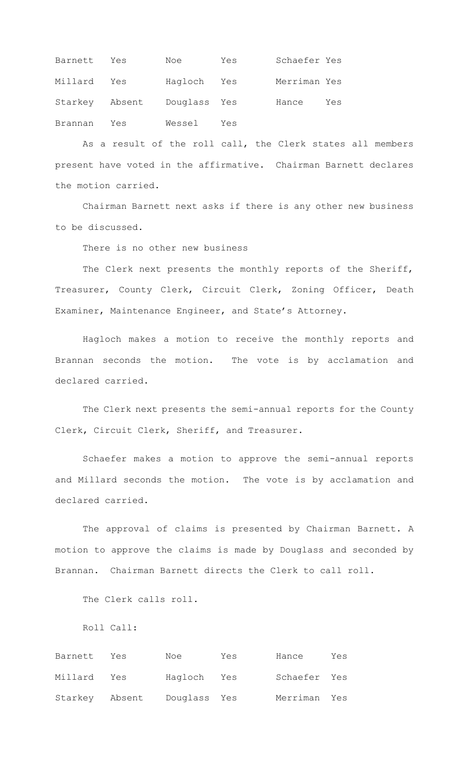| Barnett Yes |     | Noe                         | Yes | Schaefer Yes |     |
|-------------|-----|-----------------------------|-----|--------------|-----|
| Millard Yes |     | Haqloch Yes                 |     | Merriman Yes |     |
|             |     | Starkey Absent Douglass Yes |     | Hance        | Yes |
| Brannan     | Yes | Wessel                      | Yes |              |     |

As a result of the roll call, the Clerk states all members present have voted in the affirmative. Chairman Barnett declares the motion carried.

Chairman Barnett next asks if there is any other new business to be discussed.

There is no other new business

The Clerk next presents the monthly reports of the Sheriff, Treasurer, County Clerk, Circuit Clerk, Zoning Officer, Death Examiner, Maintenance Engineer, and State's Attorney.

Hagloch makes a motion to receive the monthly reports and Brannan seconds the motion. The vote is by acclamation and declared carried.

The Clerk next presents the semi-annual reports for the County Clerk, Circuit Clerk, Sheriff, and Treasurer.

Schaefer makes a motion to approve the semi-annual reports and Millard seconds the motion. The vote is by acclamation and declared carried.

The approval of claims is presented by Chairman Barnett. A motion to approve the claims is made by Douglass and seconded by Brannan. Chairman Barnett directs the Clerk to call roll.

The Clerk calls roll.

Roll Call:

| Barnett        | Yes | Noe          | Yes | Hance        | Yes |
|----------------|-----|--------------|-----|--------------|-----|
| Millard Yes    |     | Hagloch Yes  |     | Schaefer Yes |     |
| Starkey Absent |     | Douglass Yes |     | Merriman Yes |     |